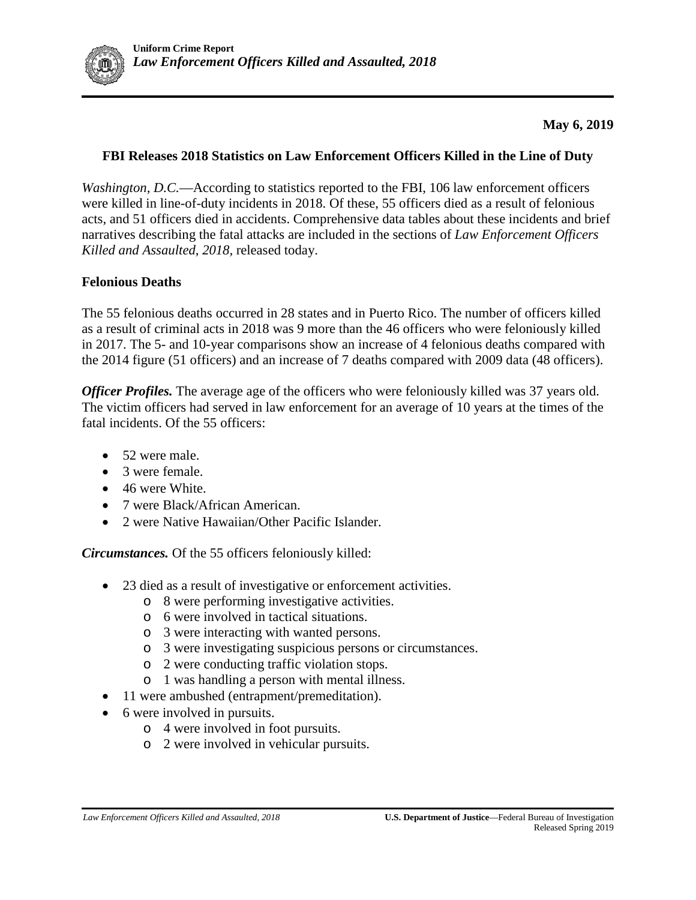

## **May 6, 2019**

#### **FBI Releases 2018 Statistics on Law Enforcement Officers Killed in the Line of Duty**

*Washington, D.C.*—According to statistics reported to the FBI, 106 law enforcement officers were killed in line-of-duty incidents in 2018. Of these, 55 officers died as a result of felonious acts, and 51 officers died in accidents. Comprehensive data tables about these incidents and brief narratives describing the fatal attacks are included in the sections of *Law Enforcement Officers Killed and Assaulted*, *2018,* released today.

## **Felonious Deaths**

The 55 felonious deaths occurred in 28 states and in Puerto Rico. The number of officers killed as a result of criminal acts in 2018 was 9 more than the 46 officers who were feloniously killed in 2017. The 5- and 10-year comparisons show an increase of 4 felonious deaths compared with the 2014 figure (51 officers) and an increase of 7 deaths compared with 2009 data (48 officers).

*Officer Profiles.* The average age of the officers who were feloniously killed was 37 years old. The victim officers had served in law enforcement for an average of 10 years at the times of the fatal incidents. Of the 55 officers:

- 52 were male.
- 3 were female.
- 46 were White.
- 7 were Black/African American.
- 2 were Native Hawaiian/Other Pacific Islander.

*Circumstances.* Of the 55 officers feloniously killed:

- 23 died as a result of investigative or enforcement activities.
	- o 8 were performing investigative activities.
	- o 6 were involved in tactical situations.
	- o 3 were interacting with wanted persons.
	- o 3 were investigating suspicious persons or circumstances.
	- o 2 were conducting traffic violation stops.
	- o 1 was handling a person with mental illness.
- 11 were ambushed (entrapment/premeditation).
- 6 were involved in pursuits.
	- o 4 were involved in foot pursuits.
	- o 2 were involved in vehicular pursuits.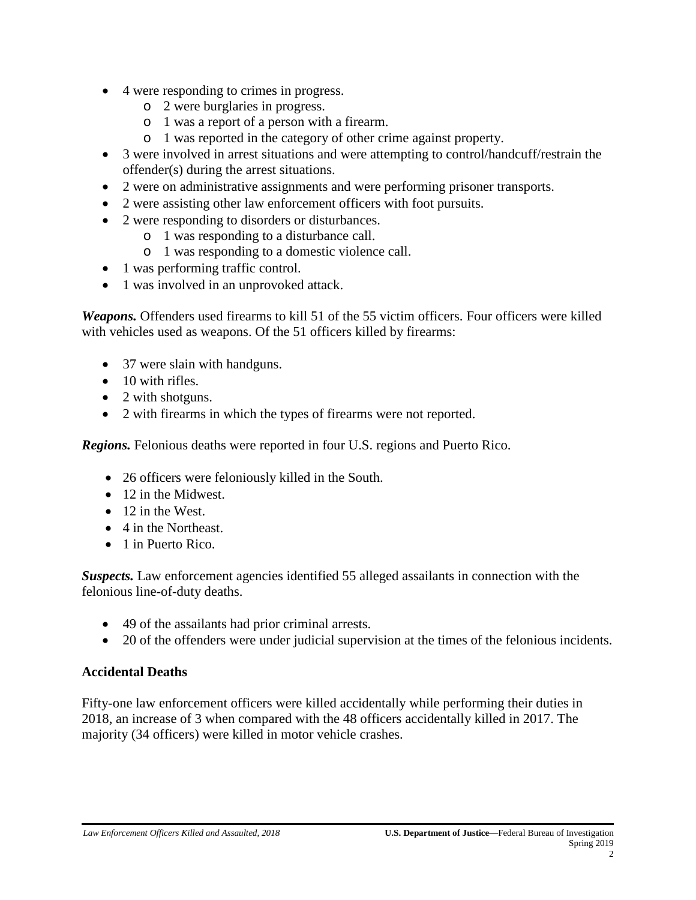- 4 were responding to crimes in progress.
	- o 2 were burglaries in progress.
	- o 1 was a report of a person with a firearm.
	- o 1 was reported in the category of other crime against property.
- 3 were involved in arrest situations and were attempting to control/handcuff/restrain the offender(s) during the arrest situations.
- 2 were on administrative assignments and were performing prisoner transports.
- 2 were assisting other law enforcement officers with foot pursuits.
- 2 were responding to disorders or disturbances.
	- o 1 was responding to a disturbance call.
	- o 1 was responding to a domestic violence call.
- 1 was performing traffic control.
- 1 was involved in an unprovoked attack.

*Weapons.* Offenders used firearms to kill 51 of the 55 victim officers. Four officers were killed with vehicles used as weapons. Of the 51 officers killed by firearms:

- 37 were slain with handguns.
- $\bullet$  10 with rifles.
- 2 with shotguns.
- 2 with firearms in which the types of firearms were not reported.

*Regions.* Felonious deaths were reported in four U.S. regions and Puerto Rico.

- 26 officers were feloniously killed in the South.
- 12 in the Midwest.
- 12 in the West.
- 4 in the Northeast.
- 1 in Puerto Rico.

*Suspects.* Law enforcement agencies identified 55 alleged assailants in connection with the felonious line-of-duty deaths.

- 49 of the assailants had prior criminal arrests.
- 20 of the offenders were under judicial supervision at the times of the felonious incidents.

#### **Accidental Deaths**

Fifty-one law enforcement officers were killed accidentally while performing their duties in 2018, an increase of 3 when compared with the 48 officers accidentally killed in 2017. The majority (34 officers) were killed in motor vehicle crashes.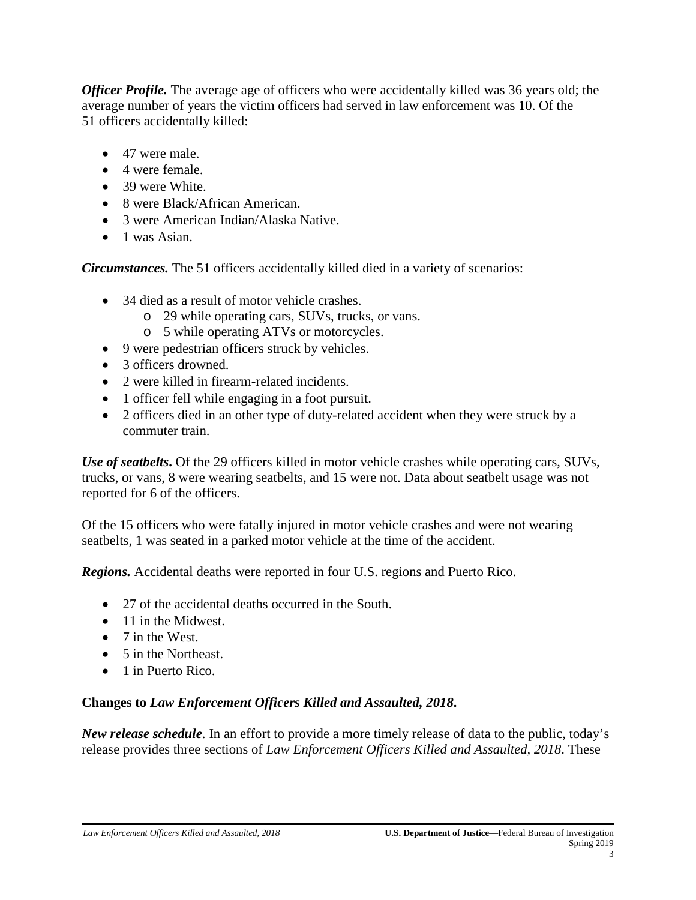*Officer Profile.* The average age of officers who were accidentally killed was 36 years old; the average number of years the victim officers had served in law enforcement was 10. Of the 51 officers accidentally killed:

- 47 were male.
- 4 were female.
- 39 were White.
- 8 were Black/African American.
- 3 were American Indian/Alaska Native.
- 1 was Asian.

*Circumstances.* The 51 officers accidentally killed died in a variety of scenarios:

- 34 died as a result of motor vehicle crashes.
	- o 29 while operating cars, SUVs, trucks, or vans.
	- o 5 while operating ATVs or motorcycles.
- 9 were pedestrian officers struck by vehicles.
- 3 officers drowned.
- 2 were killed in firearm-related incidents.
- 1 officer fell while engaging in a foot pursuit.
- 2 officers died in an other type of duty-related accident when they were struck by a commuter train.

*Use of seatbelts***.** Of the 29 officers killed in motor vehicle crashes while operating cars, SUVs, trucks, or vans, 8 were wearing seatbelts, and 15 were not. Data about seatbelt usage was not reported for 6 of the officers.

Of the 15 officers who were fatally injured in motor vehicle crashes and were not wearing seatbelts, 1 was seated in a parked motor vehicle at the time of the accident.

*Regions.* Accidental deaths were reported in four U.S. regions and Puerto Rico.

- 27 of the accidental deaths occurred in the South.
- 11 in the Midwest.
- 7 in the West.
- 5 in the Northeast.
- 1 in Puerto Rico.

# **Changes to** *Law Enforcement Officers Killed and Assaulted, 2018***.**

*New release schedule*. In an effort to provide a more timely release of data to the public, today's release provides three sections of *Law Enforcement Officers Killed and Assaulted, 2018*. These